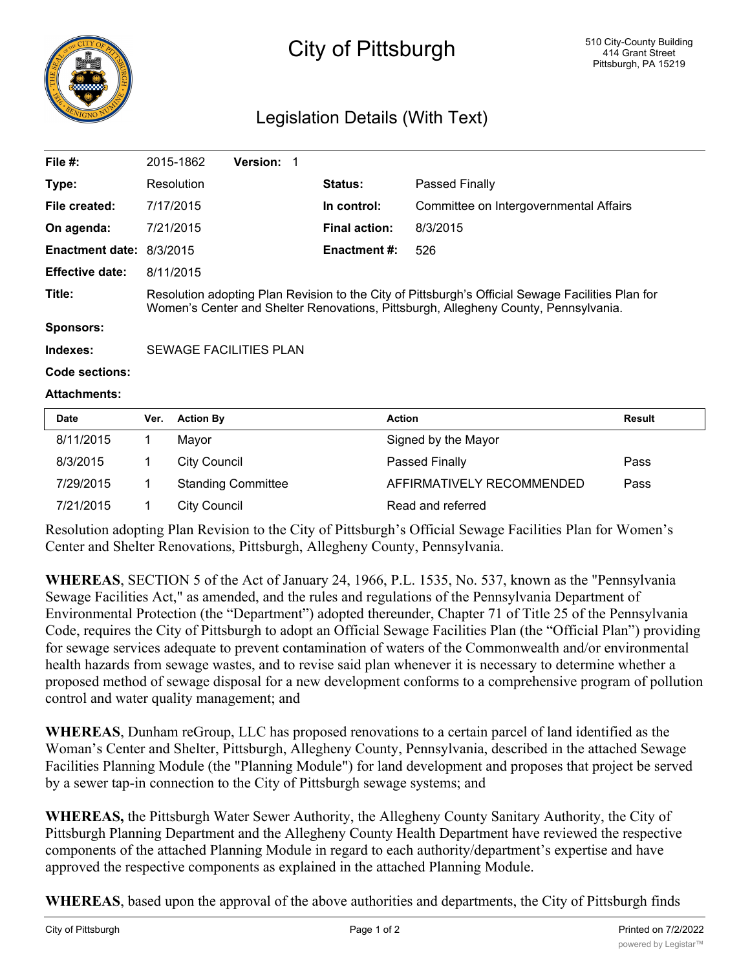

## City of Pittsburgh

## Legislation Details (With Text)

| File $#$ :               |                                                                                                                                                                                          | 2015-1862         | <b>Version: 1</b> |  |                      |                                        |               |  |
|--------------------------|------------------------------------------------------------------------------------------------------------------------------------------------------------------------------------------|-------------------|-------------------|--|----------------------|----------------------------------------|---------------|--|
| Type:                    |                                                                                                                                                                                          | <b>Resolution</b> |                   |  | <b>Status:</b>       | Passed Finally                         |               |  |
| File created:            | 7/17/2015                                                                                                                                                                                |                   |                   |  | In control:          | Committee on Intergovernmental Affairs |               |  |
| On agenda:               | 7/21/2015                                                                                                                                                                                |                   |                   |  | <b>Final action:</b> | 8/3/2015                               |               |  |
| Enactment date: 8/3/2015 |                                                                                                                                                                                          |                   |                   |  | <b>Enactment #:</b>  | 526                                    |               |  |
| <b>Effective date:</b>   | 8/11/2015                                                                                                                                                                                |                   |                   |  |                      |                                        |               |  |
| Title:                   | Resolution adopting Plan Revision to the City of Pittsburgh's Official Sewage Facilities Plan for<br>Women's Center and Shelter Renovations, Pittsburgh, Allegheny County, Pennsylvania. |                   |                   |  |                      |                                        |               |  |
| Sponsors:                |                                                                                                                                                                                          |                   |                   |  |                      |                                        |               |  |
| Indexes:                 | SEWAGE FACILITIES PLAN                                                                                                                                                                   |                   |                   |  |                      |                                        |               |  |
| Code sections:           |                                                                                                                                                                                          |                   |                   |  |                      |                                        |               |  |
| <b>Attachments:</b>      |                                                                                                                                                                                          |                   |                   |  |                      |                                        |               |  |
| <b>Date</b>              | Ver.                                                                                                                                                                                     | <b>Action By</b>  |                   |  | <b>Action</b>        |                                        | <b>Result</b> |  |
| 9/11/2015                | 1                                                                                                                                                                                        | $M$ <sub>2</sub>  |                   |  |                      | Signed by the Mayor                    |               |  |

| Date      | Ver. Action By            | <b>Action</b>             | Result |
|-----------|---------------------------|---------------------------|--------|
| 8/11/2015 | Mavor                     | Signed by the Mayor       |        |
| 8/3/2015  | City Council              | <b>Passed Finally</b>     | Pass   |
| 7/29/2015 | <b>Standing Committee</b> | AFFIRMATIVELY RECOMMENDED | Pass   |
| 7/21/2015 | City Council              | Read and referred         |        |

Resolution adopting Plan Revision to the City of Pittsburgh's Official Sewage Facilities Plan for Women's Center and Shelter Renovations, Pittsburgh, Allegheny County, Pennsylvania.

**WHEREAS**, SECTION 5 of the Act of January 24, 1966, P.L. 1535, No. 537, known as the "Pennsylvania Sewage Facilities Act," as amended, and the rules and regulations of the Pennsylvania Department of Environmental Protection (the "Department") adopted thereunder, Chapter 71 of Title 25 of the Pennsylvania Code, requires the City of Pittsburgh to adopt an Official Sewage Facilities Plan (the "Official Plan") providing for sewage services adequate to prevent contamination of waters of the Commonwealth and/or environmental health hazards from sewage wastes, and to revise said plan whenever it is necessary to determine whether a proposed method of sewage disposal for a new development conforms to a comprehensive program of pollution control and water quality management; and

**WHEREAS**, Dunham reGroup, LLC has proposed renovations to a certain parcel of land identified as the Woman's Center and Shelter, Pittsburgh, Allegheny County, Pennsylvania, described in the attached Sewage Facilities Planning Module (the "Planning Module") for land development and proposes that project be served by a sewer tap-in connection to the City of Pittsburgh sewage systems; and

**WHEREAS,** the Pittsburgh Water Sewer Authority, the Allegheny County Sanitary Authority, the City of Pittsburgh Planning Department and the Allegheny County Health Department have reviewed the respective components of the attached Planning Module in regard to each authority/department's expertise and have approved the respective components as explained in the attached Planning Module.

**WHEREAS**, based upon the approval of the above authorities and departments, the City of Pittsburgh finds